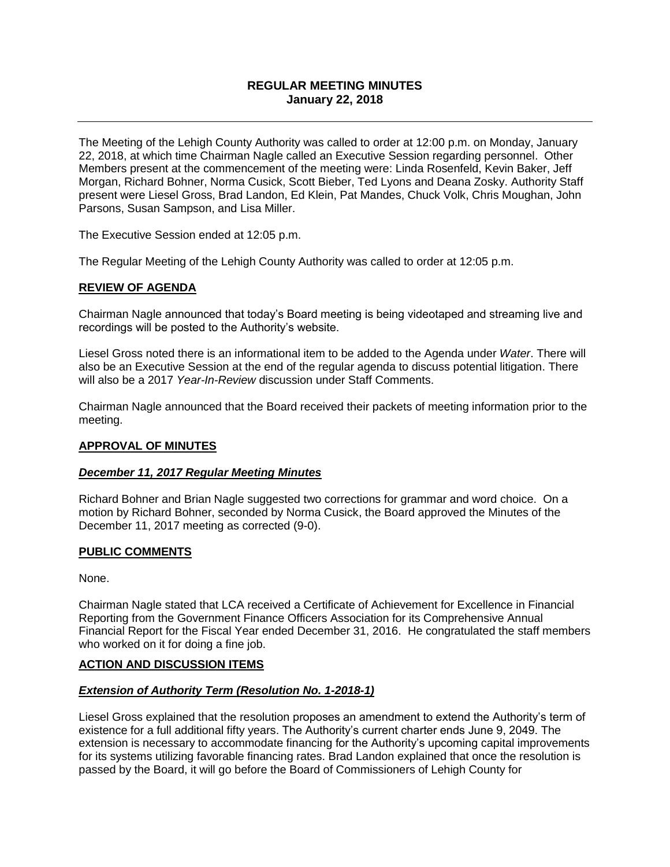# **REGULAR MEETING MINUTES January 22, 2018**

The Meeting of the Lehigh County Authority was called to order at 12:00 p.m. on Monday, January 22, 2018, at which time Chairman Nagle called an Executive Session regarding personnel. Other Members present at the commencement of the meeting were: Linda Rosenfeld, Kevin Baker, Jeff Morgan, Richard Bohner, Norma Cusick, Scott Bieber, Ted Lyons and Deana Zosky. Authority Staff present were Liesel Gross, Brad Landon, Ed Klein, Pat Mandes, Chuck Volk, Chris Moughan, John Parsons, Susan Sampson, and Lisa Miller.

The Executive Session ended at 12:05 p.m.

The Regular Meeting of the Lehigh County Authority was called to order at 12:05 p.m.

#### **REVIEW OF AGENDA**

Chairman Nagle announced that today's Board meeting is being videotaped and streaming live and recordings will be posted to the Authority's website.

Liesel Gross noted there is an informational item to be added to the Agenda under *Water*. There will also be an Executive Session at the end of the regular agenda to discuss potential litigation. There will also be a 2017 *Year-In-Review* discussion under Staff Comments.

Chairman Nagle announced that the Board received their packets of meeting information prior to the meeting.

### **APPROVAL OF MINUTES**

#### *December 11, 2017 Regular Meeting Minutes*

Richard Bohner and Brian Nagle suggested two corrections for grammar and word choice. On a motion by Richard Bohner, seconded by Norma Cusick, the Board approved the Minutes of the December 11, 2017 meeting as corrected (9-0).

#### **PUBLIC COMMENTS**

None.

Chairman Nagle stated that LCA received a Certificate of Achievement for Excellence in Financial Reporting from the Government Finance Officers Association for its Comprehensive Annual Financial Report for the Fiscal Year ended December 31, 2016. He congratulated the staff members who worked on it for doing a fine job.

### **ACTION AND DISCUSSION ITEMS**

#### *Extension of Authority Term (Resolution No. 1-2018-1)*

Liesel Gross explained that the resolution proposes an amendment to extend the Authority's term of existence for a full additional fifty years. The Authority's current charter ends June 9, 2049. The extension is necessary to accommodate financing for the Authority's upcoming capital improvements for its systems utilizing favorable financing rates. Brad Landon explained that once the resolution is passed by the Board, it will go before the Board of Commissioners of Lehigh County for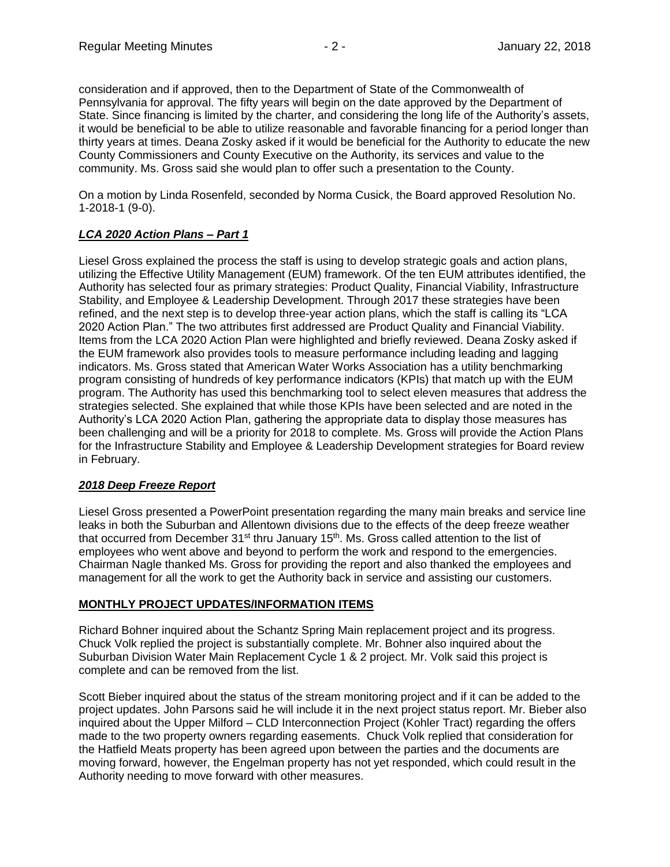consideration and if approved, then to the Department of State of the Commonwealth of Pennsylvania for approval. The fifty years will begin on the date approved by the Department of State. Since financing is limited by the charter, and considering the long life of the Authority's assets, it would be beneficial to be able to utilize reasonable and favorable financing for a period longer than thirty years at times. Deana Zosky asked if it would be beneficial for the Authority to educate the new County Commissioners and County Executive on the Authority, its services and value to the community. Ms. Gross said she would plan to offer such a presentation to the County.

On a motion by Linda Rosenfeld, seconded by Norma Cusick, the Board approved Resolution No. 1-2018-1 (9-0).

# *LCA 2020 Action Plans – Part 1*

Liesel Gross explained the process the staff is using to develop strategic goals and action plans, utilizing the Effective Utility Management (EUM) framework. Of the ten EUM attributes identified, the Authority has selected four as primary strategies: Product Quality, Financial Viability, Infrastructure Stability, and Employee & Leadership Development. Through 2017 these strategies have been refined, and the next step is to develop three-year action plans, which the staff is calling its "LCA 2020 Action Plan." The two attributes first addressed are Product Quality and Financial Viability. Items from the LCA 2020 Action Plan were highlighted and briefly reviewed. Deana Zosky asked if the EUM framework also provides tools to measure performance including leading and lagging indicators. Ms. Gross stated that American Water Works Association has a utility benchmarking program consisting of hundreds of key performance indicators (KPIs) that match up with the EUM program. The Authority has used this benchmarking tool to select eleven measures that address the strategies selected. She explained that while those KPIs have been selected and are noted in the Authority's LCA 2020 Action Plan, gathering the appropriate data to display those measures has been challenging and will be a priority for 2018 to complete. Ms. Gross will provide the Action Plans for the Infrastructure Stability and Employee & Leadership Development strategies for Board review in February.

# *2018 Deep Freeze Report*

Liesel Gross presented a PowerPoint presentation regarding the many main breaks and service line leaks in both the Suburban and Allentown divisions due to the effects of the deep freeze weather that occurred from December 31<sup>st</sup> thru January 15<sup>th</sup>. Ms. Gross called attention to the list of employees who went above and beyond to perform the work and respond to the emergencies. Chairman Nagle thanked Ms. Gross for providing the report and also thanked the employees and management for all the work to get the Authority back in service and assisting our customers.

# **MONTHLY PROJECT UPDATES/INFORMATION ITEMS**

Richard Bohner inquired about the Schantz Spring Main replacement project and its progress. Chuck Volk replied the project is substantially complete. Mr. Bohner also inquired about the Suburban Division Water Main Replacement Cycle 1 & 2 project. Mr. Volk said this project is complete and can be removed from the list.

Scott Bieber inquired about the status of the stream monitoring project and if it can be added to the project updates. John Parsons said he will include it in the next project status report. Mr. Bieber also inquired about the Upper Milford – CLD Interconnection Project (Kohler Tract) regarding the offers made to the two property owners regarding easements. Chuck Volk replied that consideration for the Hatfield Meats property has been agreed upon between the parties and the documents are moving forward, however, the Engelman property has not yet responded, which could result in the Authority needing to move forward with other measures.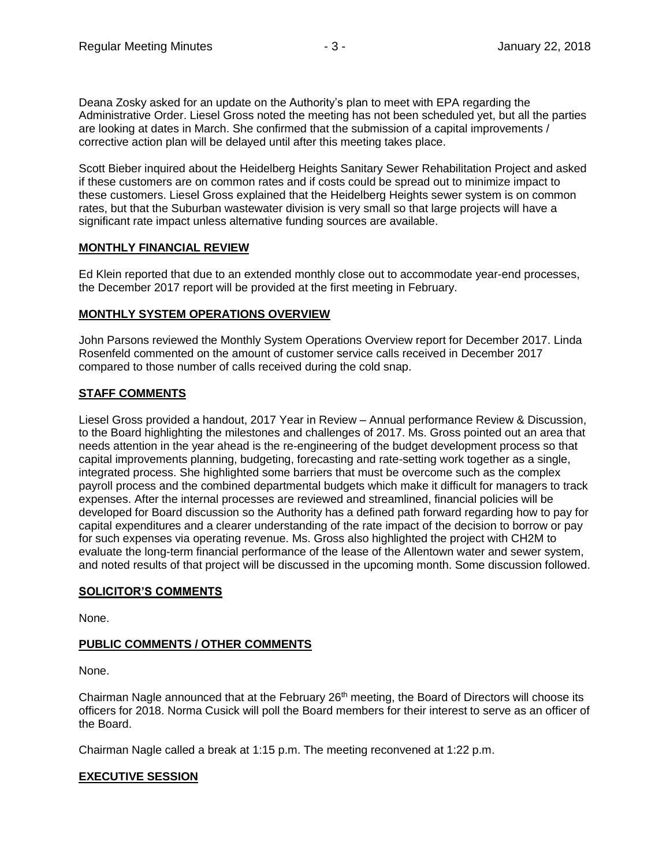Deana Zosky asked for an update on the Authority's plan to meet with EPA regarding the Administrative Order. Liesel Gross noted the meeting has not been scheduled yet, but all the parties are looking at dates in March. She confirmed that the submission of a capital improvements / corrective action plan will be delayed until after this meeting takes place.

Scott Bieber inquired about the Heidelberg Heights Sanitary Sewer Rehabilitation Project and asked if these customers are on common rates and if costs could be spread out to minimize impact to these customers. Liesel Gross explained that the Heidelberg Heights sewer system is on common rates, but that the Suburban wastewater division is very small so that large projects will have a significant rate impact unless alternative funding sources are available.

# **MONTHLY FINANCIAL REVIEW**

Ed Klein reported that due to an extended monthly close out to accommodate year-end processes, the December 2017 report will be provided at the first meeting in February.

### **MONTHLY SYSTEM OPERATIONS OVERVIEW**

John Parsons reviewed the Monthly System Operations Overview report for December 2017. Linda Rosenfeld commented on the amount of customer service calls received in December 2017 compared to those number of calls received during the cold snap.

### **STAFF COMMENTS**

Liesel Gross provided a handout, 2017 Year in Review – Annual performance Review & Discussion, to the Board highlighting the milestones and challenges of 2017. Ms. Gross pointed out an area that needs attention in the year ahead is the re-engineering of the budget development process so that capital improvements planning, budgeting, forecasting and rate-setting work together as a single, integrated process. She highlighted some barriers that must be overcome such as the complex payroll process and the combined departmental budgets which make it difficult for managers to track expenses. After the internal processes are reviewed and streamlined, financial policies will be developed for Board discussion so the Authority has a defined path forward regarding how to pay for capital expenditures and a clearer understanding of the rate impact of the decision to borrow or pay for such expenses via operating revenue. Ms. Gross also highlighted the project with CH2M to evaluate the long-term financial performance of the lease of the Allentown water and sewer system, and noted results of that project will be discussed in the upcoming month. Some discussion followed.

### **SOLICITOR'S COMMENTS**

None.

# **PUBLIC COMMENTS / OTHER COMMENTS**

None.

Chairman Nagle announced that at the February 26<sup>th</sup> meeting, the Board of Directors will choose its officers for 2018. Norma Cusick will poll the Board members for their interest to serve as an officer of the Board.

Chairman Nagle called a break at 1:15 p.m. The meeting reconvened at 1:22 p.m.

### **EXECUTIVE SESSION**